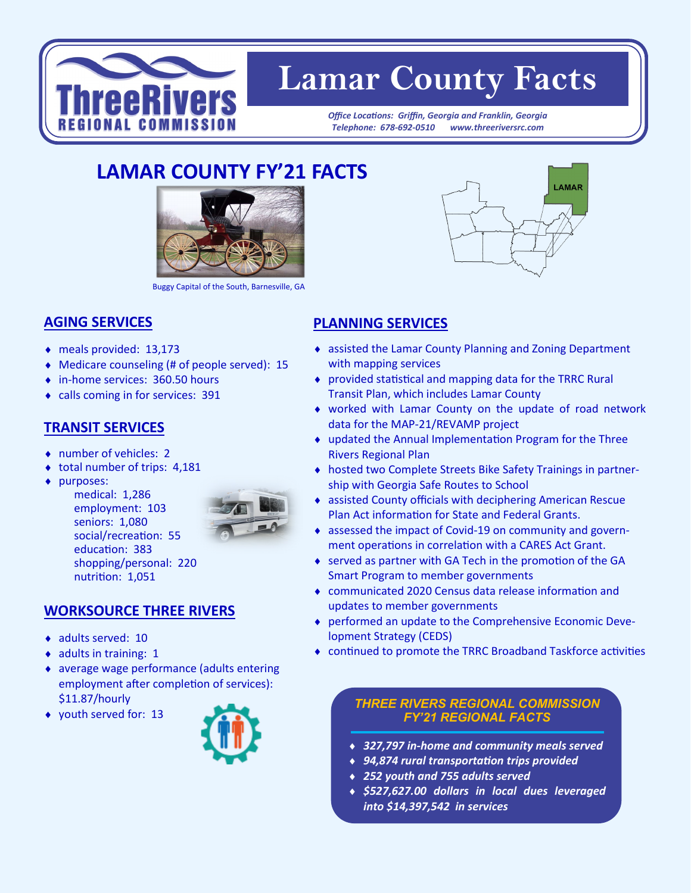

# **Lamar County Facts**

*Office Locations: Griffin, Georgia and Franklin, Georgia Telephone: 678-692-0510 www.threeriversrc.com*

## **LAMAR COUNTY FY'21 FACTS**



Buggy Capital of the South, Barnesville, GA

#### **AGING SERVICES**

- meals provided: 13,173
- Medicare counseling (# of people served): 15
- ◆ in-home services: 360.50 hours
- calls coming in for services: 391

#### **TRANSIT SERVICES**

- ◆ number of vehicles: 2
- $\bullet$  total number of trips: 4,181
- purposes:

medical: 1,286 employment: 103 seniors: 1,080 social/recreation: 55 education: 383 shopping/personal: 220 nutrition: 1,051



#### **WORKSOURCE THREE RIVERS**

- adults served: 10
- $\bullet$  adults in training: 1
- average wage performance (adults entering employment after completion of services): \$11.87/hourly
- youth served for: 13



### **PLANNING SERVICES**

- assisted the Lamar County Planning and Zoning Department with mapping services
- provided statistical and mapping data for the TRRC Rural Transit Plan, which includes Lamar County
- worked with Lamar County on the update of road network data for the MAP-21/REVAMP project
- updated the Annual Implementation Program for the Three Rivers Regional Plan
- hosted two Complete Streets Bike Safety Trainings in partnership with Georgia Safe Routes to School
- assisted County officials with deciphering American Rescue Plan Act information for State and Federal Grants.
- assessed the impact of Covid-19 on community and government operations in correlation with a CARES Act Grant.
- served as partner with GA Tech in the promotion of the GA Smart Program to member governments
- communicated 2020 Census data release information and updates to member governments
- performed an update to the Comprehensive Economic Development Strategy (CEDS)
- continued to promote the TRRC Broadband Taskforce activities

#### *THREE RIVERS REGIONAL COMMISSION FY'21 REGIONAL FACTS*

- *327,797 in-home and community meals served*
- *94,874 rural transportation trips provided*
- *252 youth and 755 adults served*
- *\$527,627.00 dollars in local dues leveraged into \$14,397,542 in services*